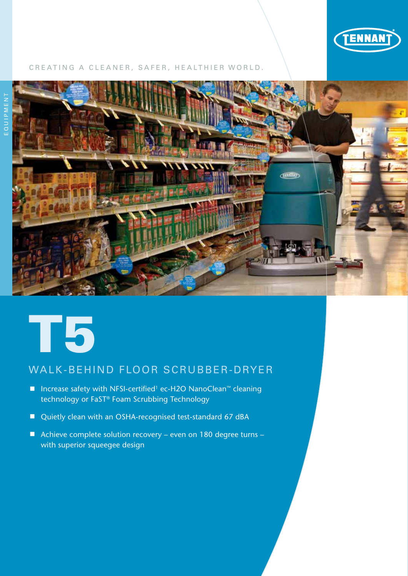

# CREATING A CLEANER, SAFER, HEALTHIER WORLD.





# WALK-BEHIND FLOOR SCRUBBER-DRYER

- Increase safety with NFSI-certified<sup>1</sup> ec-H2O NanoClean<sup>™</sup> cleaning technology or FaST® Foam Scrubbing Technology
- Quietly clean with an OSHA-recognised test-standard 67 dBA
- Achieve complete solution recovery even on 180 degree turns with superior squeegee design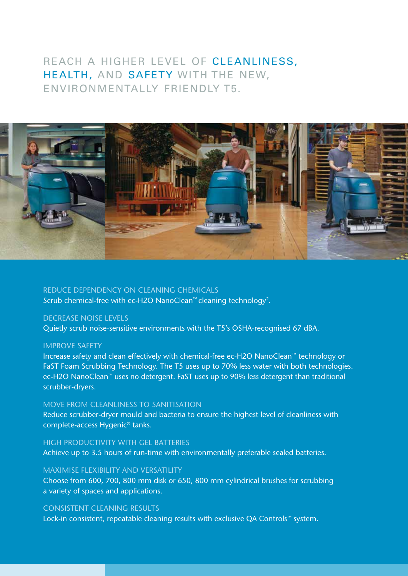# REACH A HIGHER LEVEL OF CLEANLINESS, HEALTH, AND SAFETY WITH THE NEW, ENVIRONMENTALLY FRIENDLY T5.



# REDUCE DEPENDENCY ON CLEANING CHEMICALS

Scrub chemical-free with ec-H2O NanoClean™ cleaning technology2.

# DECREASE NOISE LEVELS

Quietly scrub noise-sensitive environments with the T5's OSHA-recognised 67 dBA.

## IMPROVE SAFETY

Increase safety and clean effectively with chemical-free ec-H2O NanoClean™ technology or FaST Foam Scrubbing Technology. The T5 uses up to 70% less water with both technologies. ec-H2O NanoClean™ uses no detergent. FaST uses up to 90% less detergent than traditional scrubber-dryers.

## MOVE FROM CLEANLINESS TO SANITISATION

Reduce scrubber-dryer mould and bacteria to ensure the highest level of cleanliness with complete-access Hygenic® tanks.

## HIGH PRODUCTIVITY WITH GEL BATTERIES

Achieve up to 3.5 hours of run-time with environmentally preferable sealed batteries.

## MAXIMISE FLEXIBILITY AND VERSATILITY

Choose from 600, 700, 800 mm disk or 650, 800 mm cylindrical brushes for scrubbing a variety of spaces and applications.

# CONSISTENT CLEANING RESULTS

Lock-in consistent, repeatable cleaning results with exclusive QA Controls™ system.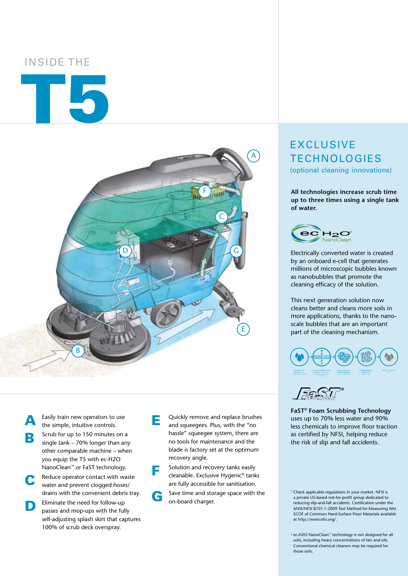# INSIDE THE

# T5



A Easily train new operators to use<br>the simple, intuitive controls.

**B** Scrub for up to 150 minutes on a single tank – 70% longer than any other comparable machine – when you equip the T5 with ec-H2O NanoClean<sup>™</sup> or FaST technology.

**C** Reduce operator contact with waste water and prevent clogged hoses/ drains with the convenient debris tray.

**D** Eliminate the need for follow-up passes and mop-ups with the fully self-adjusting splash skirt that captures 100% of scrub deck overspray.

E Quickly remove and replace brushes and squeegees. Plus, with the "no hassle" squeegee system, there are no tools for maintenance and the blade is factory set at the optimum recovery angle.

**F** Solution and recovery tanks easily<br>cleanable. Exclusive Hygenic® tanks are fully accessible for sanitisation.

Save time and storage space with the on-board charger.

# EXCLUSIVE **TECHNOLOGIES** (optional cleaning innovations)

**All technologies increase scrub time up to three times using a single tank of water.**



Electrically converted water is created by an onboard e-cell that generates millions of microscopic bubbles known as nanobubbles that promote the cleaning efficacy of the solution.

This next generation solution now cleans better and cleans more soils in more applications, thanks to the nanoscale bubbles that are an important part of the cleaning mechanism.





**FaST® Foam Scrubbing Technology** uses up to 70% less water and 90% less chemicals to improve floor traction as certified by NFSI, helping reduce the risk of slip and fall accidents.

<sup>1</sup> Check applicable requlations in your market. NFSL is a private US-based not-for-profit group dedicated to reducing slip-and-fall accidents. Certification under the ANSI/NFSI B101.1-2009 Test Method for Measuring Wet SCOF of Common Hard-Surface Floor Materials available at http://www.nfsi.org/.

<sup>2</sup> ec-H2O NanoClean™ technology is not designed for all soils, including heavy concentrations of fats and oils. Conventional chemical cleaners may be required for those soils.